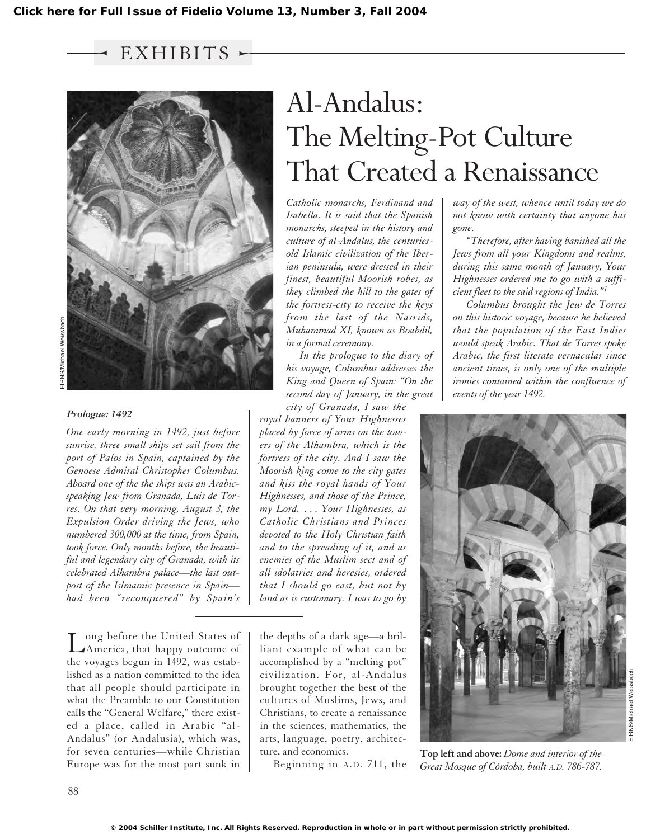$\rightarrow$  EXHIBITS  $\sim$ 



### *Prologue: 1492*

*One early morning in 1492, just before sunrise, three small ships set sail from the port of Palos in Spain, captained by the Genoese Admiral Christopher Columbus. Aboard one of the the ships was an Arabicspeaking Jew from Granada, Luis de Torres. On that very morning, August 3, the Expulsion Order driving the Jews, who numbered 300,000 at the time, from Spain, took force. Only months before, the beautiful and legendary city of Granada, with its celebrated Alhambra palace—the last outpost of the Islmamic presence in Spain had been "reconquered" by Spain's*

Long before the United States of America, that happy outcome of the voyages begun in 1492, was established as a nation committed to the idea that all people should participate in what the Preamble to our Constitution calls the "General Welfare," there existed a place, called in Arabic "al-Andalus" (or Andalusia), which was, for seven centuries—while Christian Europe was for the most part sunk in

# Al-Andalus: The Melting-Pot Culture That Created a Renaissance

*Catholic monarchs, Ferdinand and Isabella. It is said that the Spanish monarchs, steeped in the history and culture of al-Andalus, the centuriesold Islamic civilization of the Iberian peninsula, were dressed in their finest, beautiful Moorish robes, as they climbed the hill to the gates of the fortress-city to receive the keys from the last of the Nasrids, Muhammad XI, known as Boabdil, in a formal ceremony.*

*In the prologue to the diary of his voyage, Columbus addresses the King and Queen of Spain: "On the second day of January, in the great*

*city of Granada, I saw the royal banners of Your Highnesses placed by force of arms on the towers of the Alhambra, which is the fortress of the city. And I saw the Moorish king come to the city gates and kiss the royal hands of Your Highnesses, and those of the Prince, my Lord. . . . Your Highnesses, as Catholic Christians and Princes devoted to the Holy Christian faith and to the spreading of it, and as enemies of the Muslim sect and of all idolatries and heresies, ordered that I should go east, but not by land as is customary. I was to go by*

the depths of a dark age—a brilliant example of what can be accomplished by a "melting pot" civilization. For, al-Andalus brought together the best of the cultures of Muslims, Jews, and Christians, to create a renaissance in the sciences, mathematics, the arts, language, poetry, architecture, and economics.

Beginning in A.D. 711, the

*way of the west, whence until today we do not know with certainty that anyone has gone.*

*"Therefore, after having banished all the Jews from all your Kingdoms and realms, during this same month of January, Your Highnesses ordered me to go with a sufficient fleet to the said regions of India."1*

*Columbus brought the Jew de Torres on this historic voyage, because he believed that the population of the East Indies would speak Arabic. That de Torres spoke Arabic, the first literate vernacular since ancient times, is only one of the multiple ironies contained within the confluence of events of the year 1492.*



**Top left and above:** *Dome and interior of the Great Mosque of Córdoba, built A.D. 786-787.*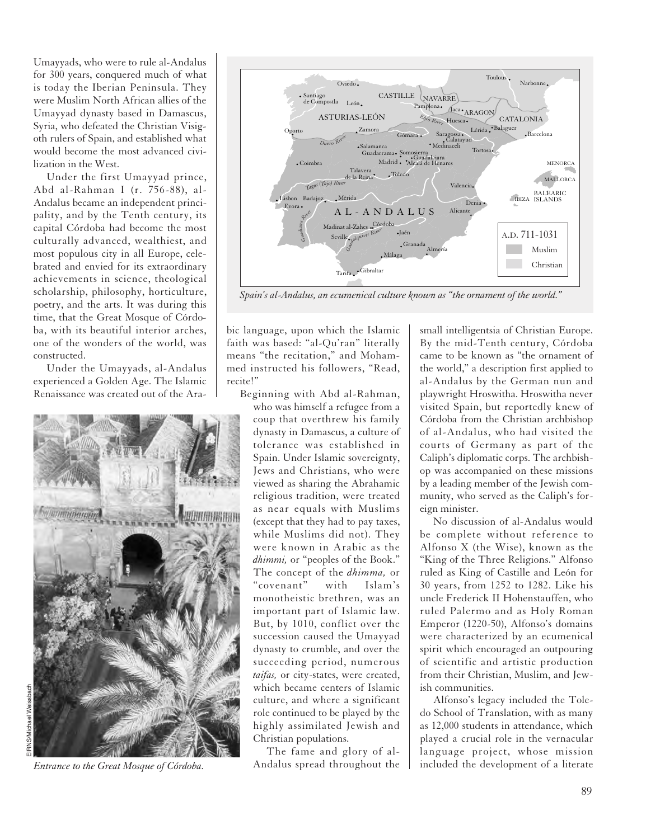Umayyads, who were to rule al-Andalus for 300 years, conquered much of what is today the Iberian Peninsula. They were Muslim North African allies of the Umayyad dynasty based in Damascus, Syria, who defeated the Christian Visigoth rulers of Spain, and established what would become the most advanced civilization in the West.

Under the first Umayyad prince, Abd al-Rahman I (r. 756-88), al-Andalus became an independent principality, and by the Tenth century, its capital Córdoba had become the most culturally advanced, wealthiest, and most populous city in all Europe, celebrated and envied for its extraordinary achievements in science, theological scholarship, philosophy, horticulture, poetry, and the arts. It was during this time, that the Great Mosque of Córdoba, with its beautiful interior arches, one of the wonders of the world, was constructed.

Under the Umayyads, al-Andalus experienced a Golden Age. The Islamic Renaissance was created out of the Ara-



*Entrance to the Great Mosque of Córdoba.*



*Spain's al-Andalus, an ecumenical culture known as "the ornament of the world."*

bic language, upon which the Islamic faith was based: "al-Qu'ran" literally means "the recitation," and Mohammed instructed his followers, "Read, recite!"

Beginning with Abd al-Rahman, who was himself a refugee from a coup that overthrew his family dynasty in Damascus, a culture of tolerance was established in Spain. Under Islamic sovereignty, Jews and Christians, who were viewed as sharing the Abrahamic religious tradition, were treated as near equals with Muslims (except that they had to pay taxes, while Muslims did not). They were known in Arabic as the *dhimmi,* or "peoples of the Book." The concept of the *dhimma,* or "covenant" with Islam's monotheistic brethren, was an important part of Islamic law. But, by 1010, conflict over the succession caused the Umayyad dynasty to crumble, and over the succeeding period, numerous *taifas,* or city-states, were created, which became centers of Islamic culture, and where a significant role continued to be played by the highly assimilated Jewish and Christian populations.

The fame and glory of al-Andalus spread throughout the

small intelligentsia of Christian Europe. By the mid-Tenth century, Córdoba came to be known as "the ornament of the world," a description first applied to al-Andalus by the German nun and playwright Hroswitha. Hroswitha never visited Spain, but reportedly knew of Córdoba from the Christian archbishop of al-Andalus, who had visited the courts of Germany as part of the Caliph's diplomatic corps. The archbishop was accompanied on these missions by a leading member of the Jewish community, who served as the Caliph's foreign minister.

No discussion of al-Andalus would be complete without reference to Alfonso X (the Wise), known as the "King of the Three Religions." Alfonso ruled as King of Castille and León for 30 years, from 1252 to 1282. Like his uncle Frederick II Hohenstauffen, who ruled Palermo and as Holy Roman Emperor (1220-50), Alfonso's domains were characterized by an ecumenical spirit which encouraged an outpouring of scientific and artistic production from their Christian, Muslim, and Jewish communities.

Alfonso's legacy included the Toledo School of Translation, with as many as 12,000 students in attendance, which played a crucial role in the vernacular language project, whose mission included the development of a literate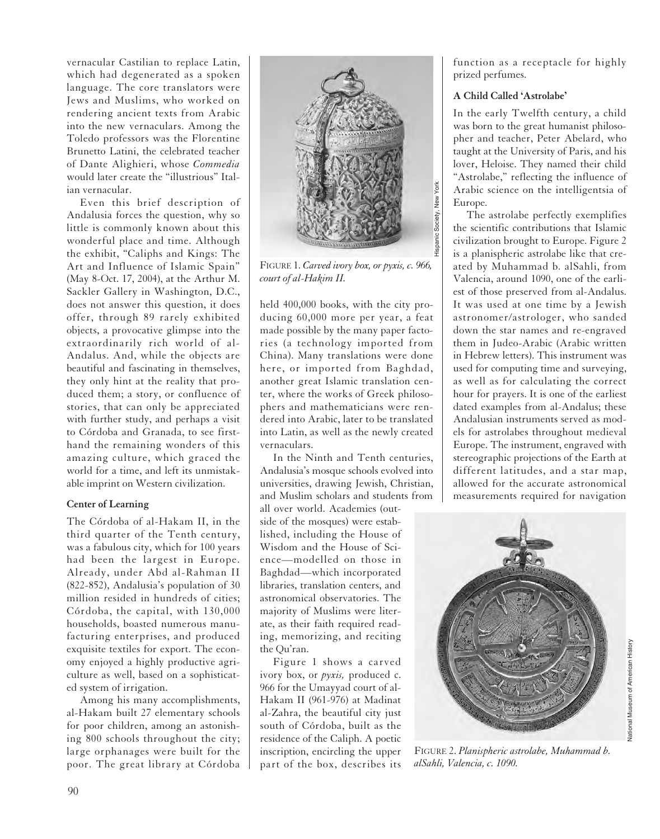vernacular Castilian to replace Latin, which had degenerated as a spoken language. The core translators were Jews and Muslims, who worked on rendering ancient texts from Arabic into the new vernaculars. Among the Toledo professors was the Florentine Brunetto Latini, the celebrated teacher of Dante Alighieri, whose *Commedia* would later create the "illustrious" Italian vernacular.

Even this brief description of Andalusia forces the question, why so little is commonly known about this wonderful place and time. Although the exhibit, "Caliphs and Kings: The Art and Influence of Islamic Spain" (May 8-Oct. 17, 2004), at the Arthur M. Sackler Gallery in Washington, D.C., does not answer this question, it does offer, through 89 rarely exhibited objects, a provocative glimpse into the extraordinarily rich world of al-Andalus. And, while the objects are beautiful and fascinating in themselves, they only hint at the reality that produced them; a story, or confluence of stories, that can only be appreciated with further study, and perhaps a visit to Córdoba and Granada, to see firsthand the remaining wonders of this amazing culture, which graced the world for a time, and left its unmistakable imprint on Western civilization.

# **Center of Learning**

The Córdoba of al-Hakam II, in the third quarter of the Tenth century, was a fabulous city, which for 100 years had been the largest in Europe. Already, under Abd al-Rahman II (822-852), Andalusia's population of 30 million resided in hundreds of cities; Córdoba, the capital, with 130,000 households, boasted numerous manufacturing enterprises, and produced exquisite textiles for export. The economy enjoyed a highly productive agriculture as well, based on a sophisticated system of irrigation.

Among his many accomplishments, al-Hakam built 27 elementary schools for poor children, among an astonishing 800 schools throughout the city; large orphanages were built for the poor. The great library at Córdoba



FIGURE 1. *Carved ivory box, or pyxis, c. 966, court of al-Hakim II.*

held 400,000 books, with the city producing 60,000 more per year, a feat made possible by the many paper factories (a technology imported from China). Many translations were done here, or imported from Baghdad, another great Islamic translation center, where the works of Greek philosophers and mathematicians were rendered into Arabic, later to be translated into Latin, as well as the newly created vernaculars.

In the Ninth and Tenth centuries, Andalusia's mosque schools evolved into universities, drawing Jewish, Christian, and Muslim scholars and students from all over world. Academies (outside of the mosques) were established, including the House of Wisdom and the House of Science—modelled on those in Baghdad—which incorporated libraries, translation centers, and astronomical observatories. The majority of Muslims were literate, as their faith required reading, memorizing, and reciting the Qu'ran.

Figure 1 shows a carved ivory box, or *pyxis,* produced c. 966 for the Umayyad court of al-Hakam II (961-976) at Madinat al-Zahra, the beautiful city just south of Córdoba, built as the residence of the Caliph. A poetic inscription, encircling the upper part of the box, describes its

function as a receptacle for highly prized perfumes.

## **A Child Called 'Astrolabe'**

In the early Twelfth century, a child was born to the great humanist philosopher and teacher, Peter Abelard, who taught at the University of Paris, and his lover, Heloise. They named their child "Astrolabe," reflecting the influence of Arabic science on the intelligentsia of Europe.

The astrolabe perfectly exemplifies the scientific contributions that Islamic civilization brought to Europe. Figure 2 is a planispheric astrolabe like that created by Muhammad b. alSahli, from Valencia, around 1090, one of the earliest of those preserved from al-Andalus. It was used at one time by a Jewish astronomer/astrologer, who sanded down the star names and re-engraved them in Judeo-Arabic (Arabic written in Hebrew letters). This instrument was used for computing time and surveying, as well as for calculating the correct hour for prayers. It is one of the earliest dated examples from al-Andalus; these Andalusian instruments served as models for astrolabes throughout medieval Europe. The instrument, engraved with stereographic projections of the Earth at different latitudes, and a star map, allowed for the accurate astronomical measurements required for navigation



FIGURE 2. *Planispheric astrolabe, Muhammad b. alSahli, Valencia, c. 1090.*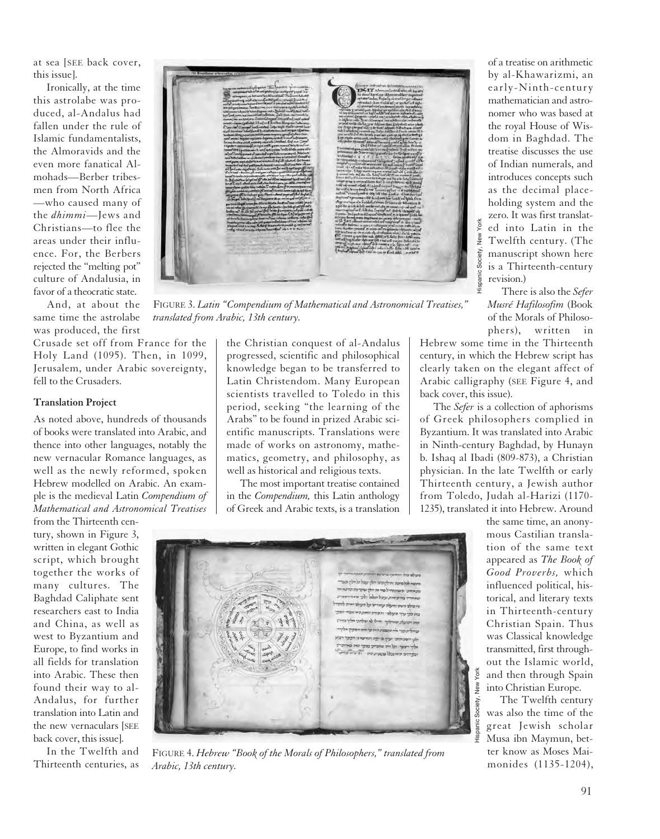at sea [SEE back cover, this issue].

Ironically, at the time this astrolabe was produced, al-Andalus had fallen under the rule of Islamic fundamentalists, the Almoravids and the even more fanatical Almohads—Berber tribesmen from North Africa —who caused many of the *dhimmi*—Jews and Christians—to flee the areas under their influence. For, the Berbers rejected the "melting pot" culture of Andalusia, in favor of a theocratic state.

And, at about the same time the astrolabe was produced, the first

Crusade set off from France for the Holy Land (1095). Then, in 1099, Jerusalem, under Arabic sovereignty, fell to the Crusaders.

## **Translation Project**

As noted above, hundreds of thousands of books were translated into Arabic, and thence into other languages, notably the new vernacular Romance languages, as well as the newly reformed, spoken Hebrew modelled on Arabic. An example is the medieval Latin *Compendium of Mathematical and Astronomical Treatises* from the Thirteenth cen-

tury, shown in Figure 3, written in elegant Gothic script, which brought together the works of many cultures. The Baghdad Caliphate sent researchers east to India and China, as well as west to Byzantium and Europe, to find works in all fields for translation into Arabic. These then found their way to al-Andalus, for further translation into Latin and the new vernaculars [SEE back cover, this issue].

In the Twelfth and Thirteenth centuries, as



FIGURE 3. *Latin "Compendium of Mathematical and Astronomical Treatises," translated from Arabic, 13th century.*

the Christian conquest of al-Andalus progressed, scientific and philosophical knowledge began to be transferred to Latin Christendom. Many European scientists travelled to Toledo in this period, seeking "the learning of the Arabs" to be found in prized Arabic scientific manuscripts. Translations were made of works on astronomy, mathematics, geometry, and philosophy, as well as historical and religious texts.

The most important treatise contained in the *Compendium,* this Latin anthology of Greek and Arabic texts, is a translation

of a treatise on arithmetic by al-Khawarizmi, an early-Ninth-century mathematician and astronomer who was based at the royal House of Wisdom in Baghdad. The treatise discusses the use of Indian numerals, and introduces concepts such as the decimal placeholding system and the zero. It was first translated into Latin in the Twelfth century. (The manuscript shown here is a Thirteenth-century revision.)

There is also the *Sefer Musré Hafilosofim* (Book of the Morals of Philosophers), written in

Hebrew some time in the Thirteenth century, in which the Hebrew script has clearly taken on the elegant affect of Arabic calligraphy (SEE Figure 4, and back cover, this issue).

The *Sefer* is a collection of aphorisms of Greek philosophers complied in Byzantium. It was translated into Arabic in Ninth-century Baghdad, by Hunayn b. Ishaq al Ibadi (809-873), a Christian physician. In the late Twelfth or early Thirteenth century, a Jewish author from Toledo, Judah al-Harizi (1170- 1235), translated it into Hebrew. Around

> the same time, an anonymous Castilian translation of the same text appeared as *The Book of Good Proverbs,* which influenced political, historical, and literary texts in Thirteenth-century Christian Spain. Thus was Classical knowledge transmitted, first throughout the Islamic world, and then through Spain into Christian Europe.

The Twelfth century was also the time of the great Jewish scholar Musa ibn Maymun, better know as Moses Maimonides (1135-1204),



FIGURE 4. *Hebrew "Book of the Morals of Philosophers," translated from Arabic, 13th century.*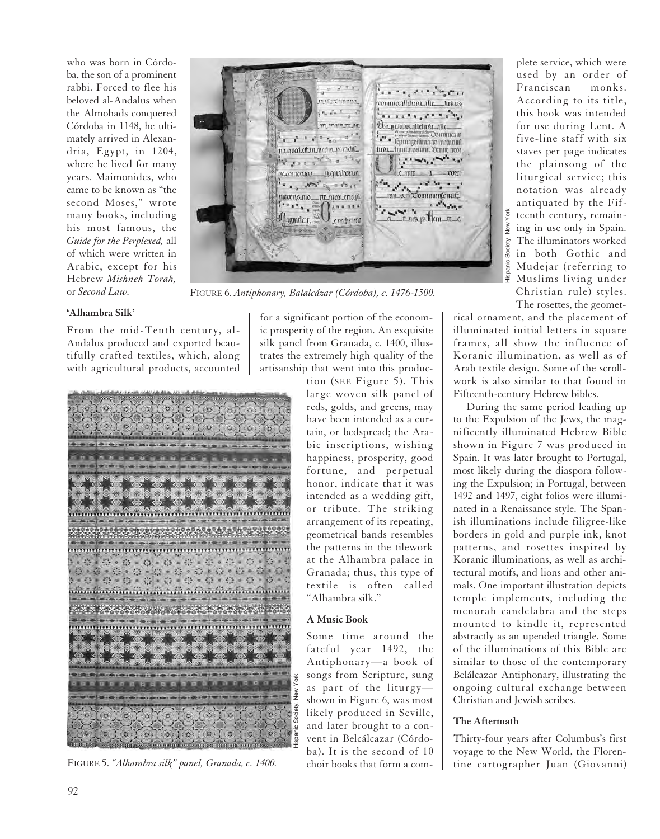who was born in Córdoba, the son of a prominent rabbi. Forced to flee his beloved al-Andalus when the Almohads conquered Córdoba in 1148, he ultimately arrived in Alexandria, Egypt, in 1204, where he lived for many years. Maimonides, who came to be known as "the second Moses," wrote many books, including his most famous, the *Guide for the Perplexed,* all of which were written in Arabic, except for his Hebrew *Mishneh Torah,* or *Second Law.*



FIGURE 6. *Antiphonary, Balalcázar (Córdoba), c. 1476-1500.*

## **'Alhambra Silk'**

From the mid-Tenth century, al-Andalus produced and exported beautifully crafted textiles, which, along with agricultural products, accounted



FIGURE 5. *"Alhambra silk" panel, Granada, c. 1400.*

for a significant portion of the economic prosperity of the region. An exquisite silk panel from Granada, c. 1400, illustrates the extremely high quality of the artisanship that went into this produc-

tion (SEE Figure 5). This large woven silk panel of reds, golds, and greens, may have been intended as a curtain, or bedspread; the Arabic inscriptions, wishing happiness, prosperity, good fortune, and perpetual honor, indicate that it was intended as a wedding gift, or tribute. The striking arrangement of its repeating, geometrical bands resembles the patterns in the tilework at the Alhambra palace in Granada; thus, this type of textile is often called "Alhambra silk."

## **A Music Book**

Some time around the fateful year 1492, the Antiphonary—a book of songs from Scripture, sung as part of the liturgy shown in Figure 6, was most likely produced in Seville, and later brought to a convent in Belcálcazar (Córdoba). It is the second of 10 choir books that form a com-

plete service, which were used by an order of Franciscan monks. According to its title, this book was intended for use during Lent. A five-line staff with six staves per page indicates the plainsong of the liturgical service; this notation was already antiquated by the Fifteenth century, remaining in use only in Spain. The illuminators worked in both Gothic and Mudejar (referring to Muslims living under Christian rule) styles. The rosettes, the geomet-Hispanic Society, New York

rical ornament, and the placement of illuminated initial letters in square frames, all show the influence of Koranic illumination, as well as of Arab textile design. Some of the scrollwork is also similar to that found in Fifteenth-century Hebrew bibles.

During the same period leading up to the Expulsion of the Jews, the magnificently illuminated Hebrew Bible shown in Figure 7 was produced in Spain. It was later brought to Portugal, most likely during the diaspora following the Expulsion; in Portugal, between 1492 and 1497, eight folios were illuminated in a Renaissance style. The Spanish illuminations include filigree-like borders in gold and purple ink, knot patterns, and rosettes inspired by Koranic illuminations, as well as architectural motifs, and lions and other animals. One important illustration depicts temple implements, including the menorah candelabra and the steps mounted to kindle it, represented abstractly as an upended triangle. Some of the illuminations of this Bible are similar to those of the contemporary Belálcazar Antiphonary, illustrating the ongoing cultural exchange between Christian and Jewish scribes.

## **The Aftermath**

Thirty-four years after Columbus's first voyage to the New World, the Florentine cartographer Juan (Giovanni)